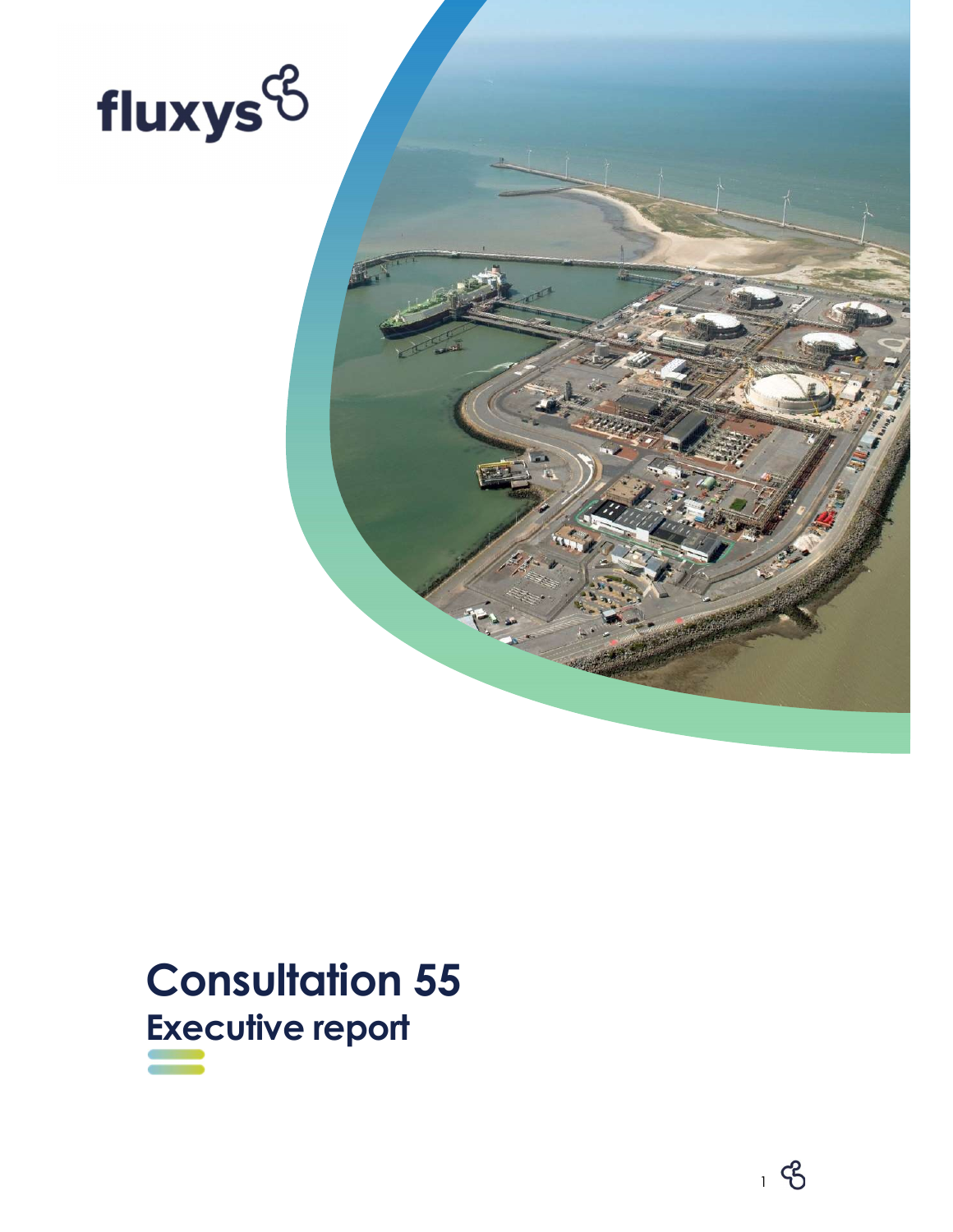



# Consultation 55 Executive report

<u>1990 - Johann Stein, amerikansk politiker (d. 1980)</u>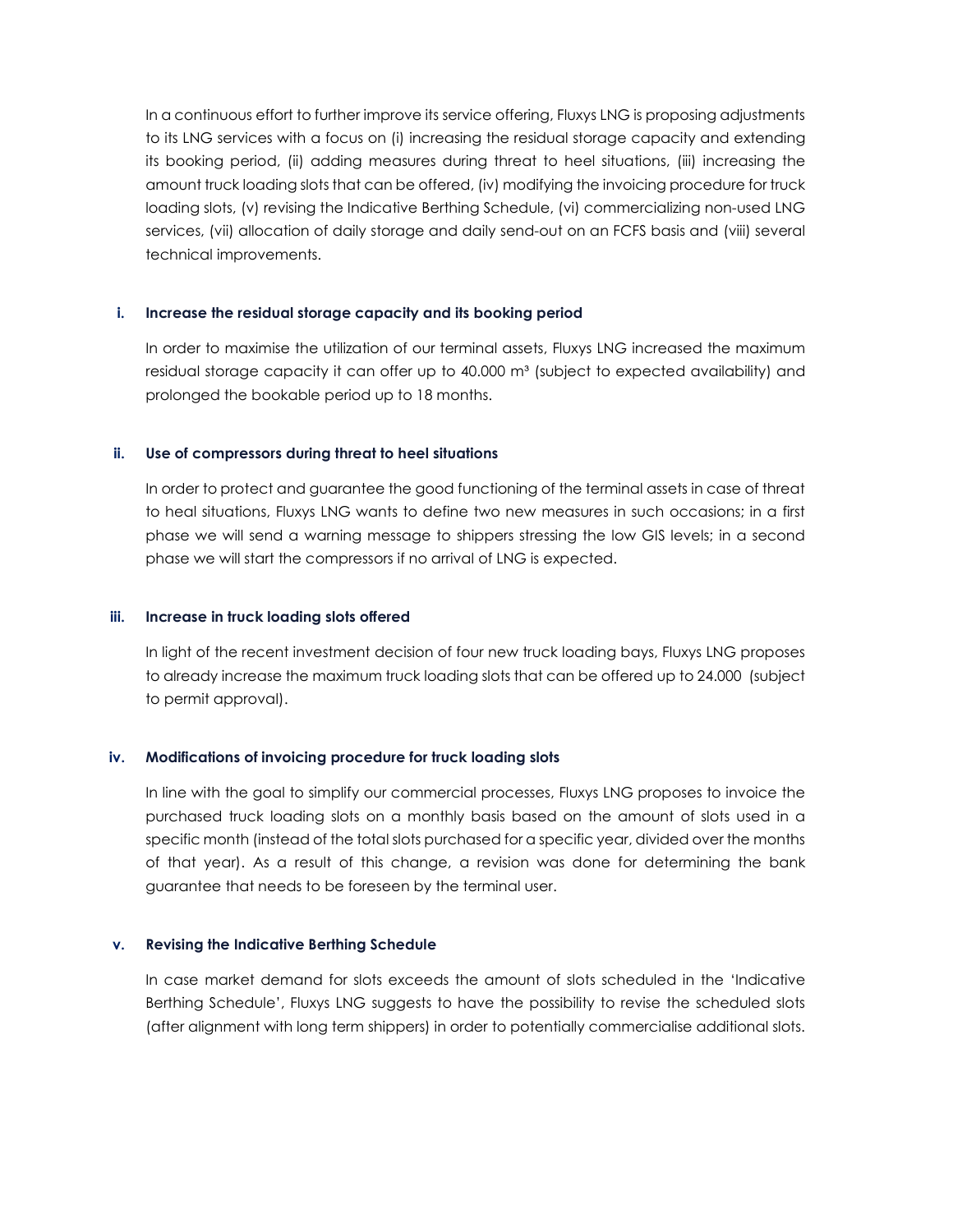In a continuous effort to further improve its service offering, Fluxys LNG is proposing adjustments to its LNG services with a focus on (i) increasing the residual storage capacity and extending its booking period, (ii) adding measures during threat to heel situations, (iii) increasing the amount truck loading slots that can be offered, (iv) modifying the invoicing procedure for truck loading slots, (v) revising the Indicative Berthing Schedule, (vi) commercializing non-used LNG services, (vii) allocation of daily storage and daily send-out on an FCFS basis and (viii) several technical improvements.

### i. Increase the residual storage capacity and its booking period

In order to maximise the utilization of our terminal assets, Fluxys LNG increased the maximum residual storage capacity it can offer up to 40.000 m<sup>3</sup> (subject to expected availability) and prolonged the bookable period up to 18 months.

# ii. Use of compressors during threat to heel situations

In order to protect and guarantee the good functioning of the terminal assets in case of threat to heal situations, Fluxys LNG wants to define two new measures in such occasions; in a first phase we will send a warning message to shippers stressing the low GIS levels; in a second phase we will start the compressors if no arrival of LNG is expected.

## iii. Increase in truck loading slots offered

In light of the recent investment decision of four new truck loading bays, Fluxys LNG proposes to already increase the maximum truck loading slots that can be offered up to 24.000 (subject to permit approval).

# iv. Modifications of invoicing procedure for truck loading slots

In line with the goal to simplify our commercial processes, Fluxys LNG proposes to invoice the purchased truck loading slots on a monthly basis based on the amount of slots used in a specific month (instead of the total slots purchased for a specific year, divided over the months of that year). As a result of this change, a revision was done for determining the bank guarantee that needs to be foreseen by the terminal user.

### v. Revising the Indicative Berthing Schedule

In case market demand for slots exceeds the amount of slots scheduled in the 'Indicative Berthing Schedule', Fluxys LNG suggests to have the possibility to revise the scheduled slots (after alignment with long term shippers) in order to potentially commercialise additional slots.